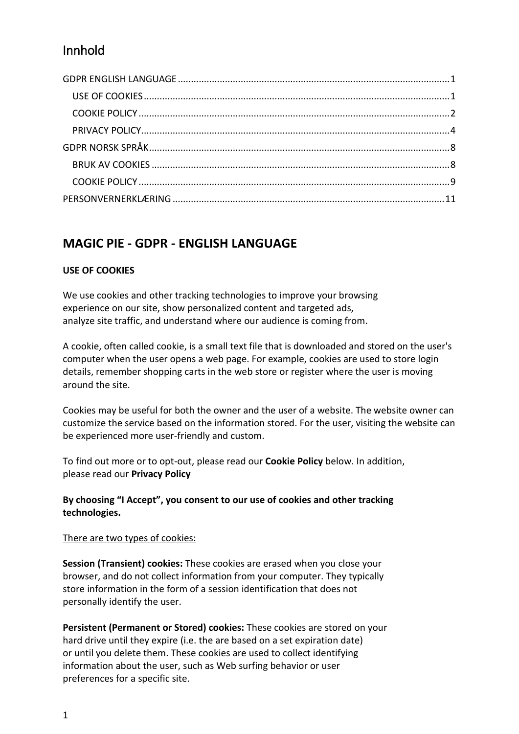# Innhold

# <span id="page-0-0"></span>**MAGIC PIE - GDPR - ENGLISH LANGUAGE**

## <span id="page-0-1"></span>**USE OF COOKIES**

We use cookies and other tracking technologies to improve your browsing experience on our site, show personalized content and targeted ads, analyze site traffic, and understand where our audience is coming from.

A cookie, often called cookie, is a small text file that is downloaded and stored on the user's computer when the user opens a web page. For example, cookies are used to store login details, remember shopping carts in the web store or register where the user is moving around the site.

Cookies may be useful for both the owner and the user of a website. The website owner can customize the service based on the information stored. For the user, visiting the website can be experienced more user-friendly and custom.

To find out more or to opt-out, please read our **Cookie Policy** below. In addition, please read our **Privacy Policy**

## **By choosing "I Accept", you consent to our use of cookies and other tracking technologies.**

## There are two types of cookies:

**Session (Transient) cookies:** These cookies are erased when you close your browser, and do not collect information from your computer. They typically store information in the form of a session identification that does not personally identify the user.

**Persistent (Permanent or Stored) cookies:** These cookies are stored on your hard drive until they expire (i.e. the are based on a set expiration date) or until you delete them. These cookies are used to collect identifying information about the user, such as Web surfing behavior or user preferences for a specific site.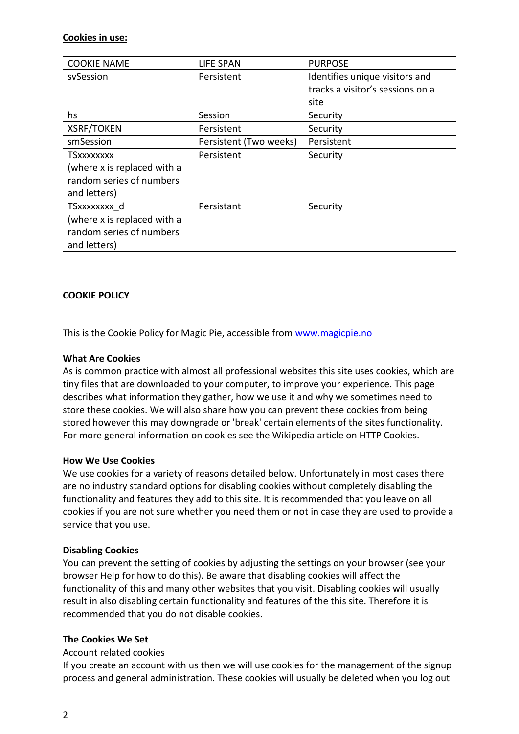### **Cookies in use:**

| <b>COOKIE NAME</b>          | <b>LIFE SPAN</b>       | <b>PURPOSE</b>                   |
|-----------------------------|------------------------|----------------------------------|
| svSession                   | Persistent             | Identifies unique visitors and   |
|                             |                        | tracks a visitor's sessions on a |
|                             |                        | site                             |
| hs                          | Session                | Security                         |
| <b>XSRF/TOKEN</b>           | Persistent             | Security                         |
| smSession                   | Persistent (Two weeks) | Persistent                       |
| <b>TSxxxxxxxx</b>           | Persistent             | Security                         |
| (where x is replaced with a |                        |                                  |
| random series of numbers    |                        |                                  |
| and letters)                |                        |                                  |
| TSxxxxxxxx d                | Persistant             | Security                         |
| (where x is replaced with a |                        |                                  |
| random series of numbers    |                        |                                  |
| and letters)                |                        |                                  |

## <span id="page-1-0"></span>**COOKIE POLICY**

This is the Cookie Policy for Magic Pie, accessible from [www.magicpie.no](http://www.magicpie.no/)

#### **What Are Cookies**

As is common practice with almost all professional websites this site uses cookies, which are tiny files that are downloaded to your computer, to improve your experience. This page describes what information they gather, how we use it and why we sometimes need to store these cookies. We will also share how you can prevent these cookies from being stored however this may downgrade or 'break' certain elements of the sites functionality. For more general information on cookies see the Wikipedia article on HTTP Cookies.

#### **How We Use Cookies**

We use cookies for a variety of reasons detailed below. Unfortunately in most cases there are no industry standard options for disabling cookies without completely disabling the functionality and features they add to this site. It is recommended that you leave on all cookies if you are not sure whether you need them or not in case they are used to provide a service that you use.

#### **Disabling Cookies**

You can prevent the setting of cookies by adjusting the settings on your browser (see your browser Help for how to do this). Be aware that disabling cookies will affect the functionality of this and many other websites that you visit. Disabling cookies will usually result in also disabling certain functionality and features of the this site. Therefore it is recommended that you do not disable cookies.

#### **The Cookies We Set**

#### Account related cookies

If you create an account with us then we will use cookies for the management of the signup process and general administration. These cookies will usually be deleted when you log out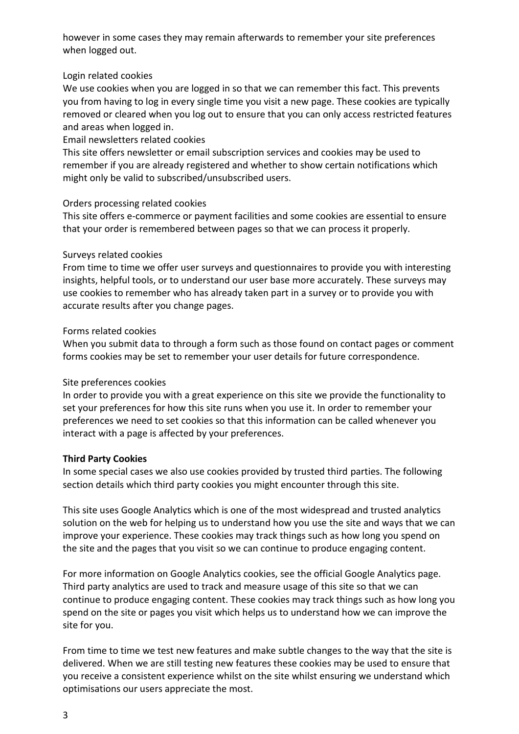however in some cases they may remain afterwards to remember your site preferences when logged out.

## Login related cookies

We use cookies when you are logged in so that we can remember this fact. This prevents you from having to log in every single time you visit a new page. These cookies are typically removed or cleared when you log out to ensure that you can only access restricted features and areas when logged in.

## Email newsletters related cookies

This site offers newsletter or email subscription services and cookies may be used to remember if you are already registered and whether to show certain notifications which might only be valid to subscribed/unsubscribed users.

## Orders processing related cookies

This site offers e-commerce or payment facilities and some cookies are essential to ensure that your order is remembered between pages so that we can process it properly.

## Surveys related cookies

From time to time we offer user surveys and questionnaires to provide you with interesting insights, helpful tools, or to understand our user base more accurately. These surveys may use cookies to remember who has already taken part in a survey or to provide you with accurate results after you change pages.

## Forms related cookies

When you submit data to through a form such as those found on contact pages or comment forms cookies may be set to remember your user details for future correspondence.

## Site preferences cookies

In order to provide you with a great experience on this site we provide the functionality to set your preferences for how this site runs when you use it. In order to remember your preferences we need to set cookies so that this information can be called whenever you interact with a page is affected by your preferences.

## **Third Party Cookies**

In some special cases we also use cookies provided by trusted third parties. The following section details which third party cookies you might encounter through this site.

This site uses Google Analytics which is one of the most widespread and trusted analytics solution on the web for helping us to understand how you use the site and ways that we can improve your experience. These cookies may track things such as how long you spend on the site and the pages that you visit so we can continue to produce engaging content.

For more information on Google Analytics cookies, see the official Google Analytics page. Third party analytics are used to track and measure usage of this site so that we can continue to produce engaging content. These cookies may track things such as how long you spend on the site or pages you visit which helps us to understand how we can improve the site for you.

From time to time we test new features and make subtle changes to the way that the site is delivered. When we are still testing new features these cookies may be used to ensure that you receive a consistent experience whilst on the site whilst ensuring we understand which optimisations our users appreciate the most.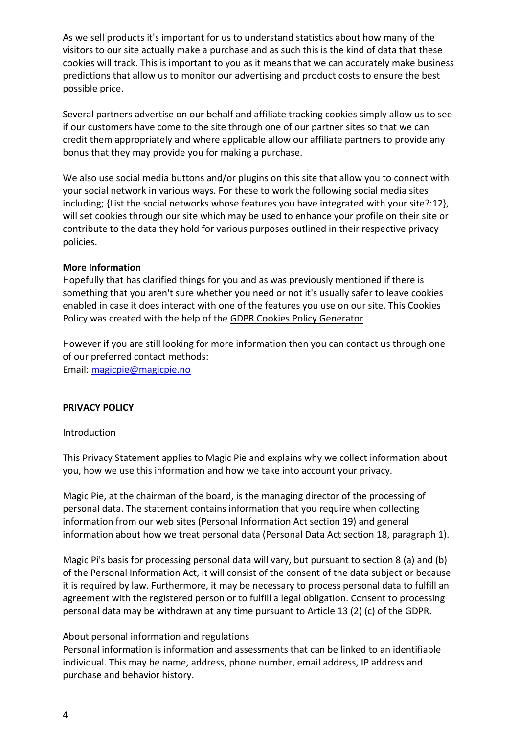As we sell products it's important for us to understand statistics about how many of the visitors to our site actually make a purchase and as such this is the kind of data that these cookies will track. This is important to you as it means that we can accurately make business predictions that allow us to monitor our advertising and product costs to ensure the best possible price.

Several partners advertise on our behalf and affiliate tracking cookies simply allow us to see if our customers have come to the site through one of our partner sites so that we can credit them appropriately and where applicable allow our affiliate partners to provide any bonus that they may provide you for making a purchase.

We also use social media buttons and/or plugins on this site that allow you to connect with your social network in various ways. For these to work the following social media sites including; {List the social networks whose features you have integrated with your site?:12}, will set cookies through our site which may be used to enhance your profile on their site or contribute to the data they hold for various purposes outlined in their respective privacy policies.

### **More Information**

Hopefully that has clarified things for you and as was previously mentioned if there is something that you aren't sure whether you need or not it's usually safer to leave cookies enabled in case it does interact with one of the features you use on our site. This Cookies Policy was created with the help of the [GDPR Cookies Policy Generator](https://cookiepolicygenerator.com/)

However if you are still looking for more information then you can contact us through one of our preferred contact methods: Email: [magicpie@magicpie.no](mailto:magicpie@magicpie.no)

## <span id="page-3-0"></span>**PRIVACY POLICY**

#### Introduction

This Privacy Statement applies to Magic Pie and explains why we collect information about you, how we use this information and how we take into account your privacy.

Magic Pie, at the chairman of the board, is the managing director of the processing of personal data. The statement contains information that you require when collecting information from our web sites (Personal Information Act section 19) and general information about how we treat personal data (Personal Data Act section 18, paragraph 1).

Magic Pi's basis for processing personal data will vary, but pursuant to section 8 (a) and (b) of the Personal Information Act, it will consist of the consent of the data subject or because it is required by law. Furthermore, it may be necessary to process personal data to fulfill an agreement with the registered person or to fulfill a legal obligation. Consent to processing personal data may be withdrawn at any time pursuant to Article 13 (2) (c) of the GDPR.

#### About personal information and regulations

Personal information is information and assessments that can be linked to an identifiable individual. This may be name, address, phone number, email address, IP address and purchase and behavior history.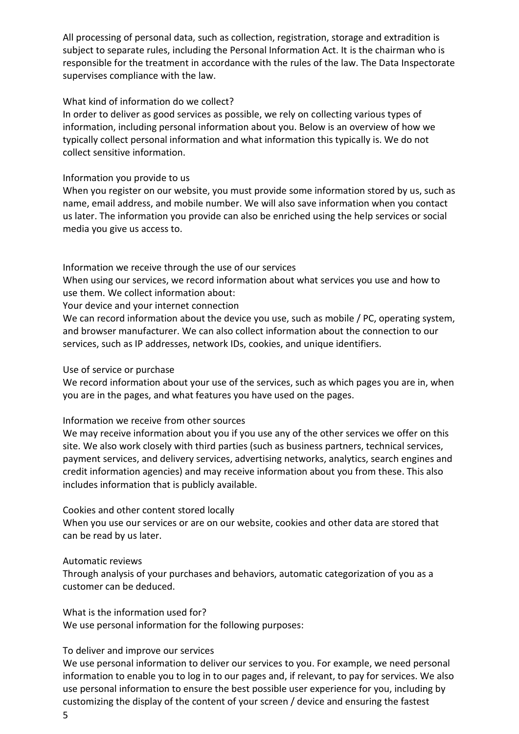All processing of personal data, such as collection, registration, storage and extradition is subject to separate rules, including the Personal Information Act. It is the chairman who is responsible for the treatment in accordance with the rules of the law. The Data Inspectorate supervises compliance with the law.

### What kind of information do we collect?

In order to deliver as good services as possible, we rely on collecting various types of information, including personal information about you. Below is an overview of how we typically collect personal information and what information this typically is. We do not collect sensitive information.

#### Information you provide to us

When you register on our website, you must provide some information stored by us, such as name, email address, and mobile number. We will also save information when you contact us later. The information you provide can also be enriched using the help services or social media you give us access to.

Information we receive through the use of our services

When using our services, we record information about what services you use and how to use them. We collect information about:

Your device and your internet connection

We can record information about the device you use, such as mobile / PC, operating system, and browser manufacturer. We can also collect information about the connection to our services, such as IP addresses, network IDs, cookies, and unique identifiers.

#### Use of service or purchase

We record information about your use of the services, such as which pages you are in, when you are in the pages, and what features you have used on the pages.

#### Information we receive from other sources

We may receive information about you if you use any of the other services we offer on this site. We also work closely with third parties (such as business partners, technical services, payment services, and delivery services, advertising networks, analytics, search engines and credit information agencies) and may receive information about you from these. This also includes information that is publicly available.

#### Cookies and other content stored locally

When you use our services or are on our website, cookies and other data are stored that can be read by us later.

#### Automatic reviews

Through analysis of your purchases and behaviors, automatic categorization of you as a customer can be deduced.

What is the information used for? We use personal information for the following purposes:

## To deliver and improve our services

We use personal information to deliver our services to you. For example, we need personal information to enable you to log in to our pages and, if relevant, to pay for services. We also use personal information to ensure the best possible user experience for you, including by customizing the display of the content of your screen / device and ensuring the fastest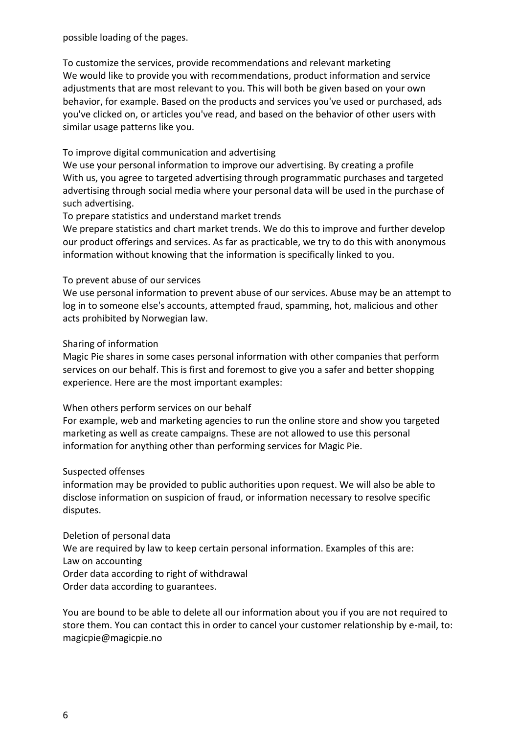possible loading of the pages.

To customize the services, provide recommendations and relevant marketing We would like to provide you with recommendations, product information and service adjustments that are most relevant to you. This will both be given based on your own behavior, for example. Based on the products and services you've used or purchased, ads you've clicked on, or articles you've read, and based on the behavior of other users with similar usage patterns like you.

## To improve digital communication and advertising

We use your personal information to improve our advertising. By creating a profile With us, you agree to targeted advertising through programmatic purchases and targeted advertising through social media where your personal data will be used in the purchase of such advertising.

## To prepare statistics and understand market trends

We prepare statistics and chart market trends. We do this to improve and further develop our product offerings and services. As far as practicable, we try to do this with anonymous information without knowing that the information is specifically linked to you.

### To prevent abuse of our services

We use personal information to prevent abuse of our services. Abuse may be an attempt to log in to someone else's accounts, attempted fraud, spamming, hot, malicious and other acts prohibited by Norwegian law.

### Sharing of information

Magic Pie shares in some cases personal information with other companies that perform services on our behalf. This is first and foremost to give you a safer and better shopping experience. Here are the most important examples:

## When others perform services on our behalf

For example, web and marketing agencies to run the online store and show you targeted marketing as well as create campaigns. These are not allowed to use this personal information for anything other than performing services for Magic Pie.

#### Suspected offenses

information may be provided to public authorities upon request. We will also be able to disclose information on suspicion of fraud, or information necessary to resolve specific disputes.

Deletion of personal data We are required by law to keep certain personal information. Examples of this are: Law on accounting Order data according to right of withdrawal Order data according to guarantees.

You are bound to be able to delete all our information about you if you are not required to store them. You can contact this in order to cancel your customer relationship by e-mail, to: magicpie@magicpie.no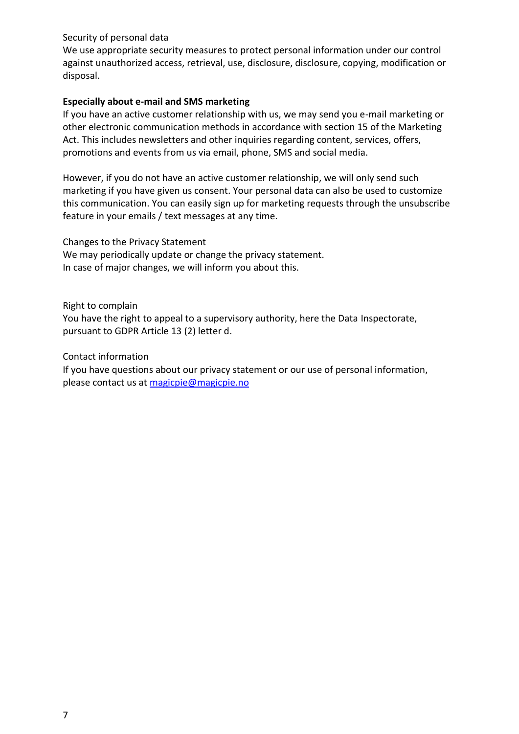## Security of personal data

We use appropriate security measures to protect personal information under our control against unauthorized access, retrieval, use, disclosure, disclosure, copying, modification or disposal.

### **Especially about e-mail and SMS marketing**

If you have an active customer relationship with us, we may send you e-mail marketing or other electronic communication methods in accordance with section 15 of the Marketing Act. This includes newsletters and other inquiries regarding content, services, offers, promotions and events from us via email, phone, SMS and social media.

However, if you do not have an active customer relationship, we will only send such marketing if you have given us consent. Your personal data can also be used to customize this communication. You can easily sign up for marketing requests through the unsubscribe feature in your emails / text messages at any time.

Changes to the Privacy Statement We may periodically update or change the privacy statement. In case of major changes, we will inform you about this.

Right to complain You have the right to appeal to a supervisory authority, here the Data Inspectorate, pursuant to GDPR Article 13 (2) letter d.

Contact information

If you have questions about our privacy statement or our use of personal information, please contact us at [magicpie@magicpie.no](mailto:magicpie@magicpie.no)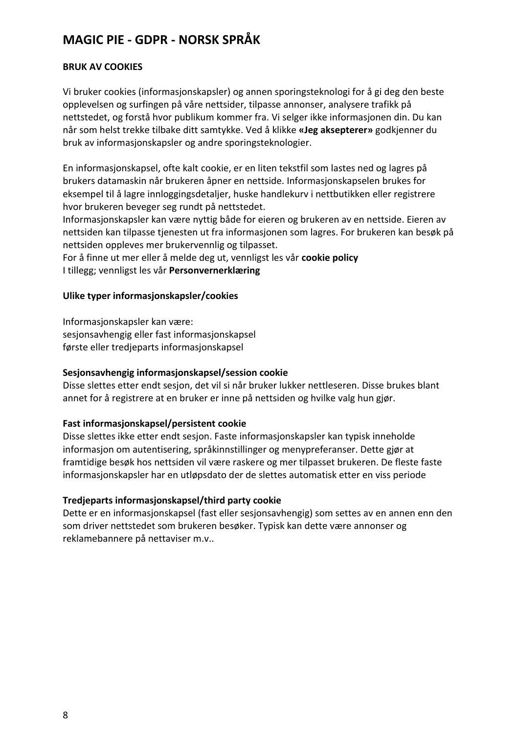# <span id="page-7-0"></span>**MAGIC PIE - GDPR - NORSK SPRÅK**

## <span id="page-7-1"></span>**BRUK AV COOKIES**

Vi bruker cookies (informasjonskapsler) og annen sporingsteknologi for å gi deg den beste opplevelsen og surfingen på våre nettsider, tilpasse annonser, analysere trafikk på nettstedet, og forstå hvor publikum kommer fra. Vi selger ikke informasjonen din. Du kan når som helst trekke tilbake ditt samtykke. Ved å klikke **«Jeg aksepterer»** godkjenner du bruk av informasjonskapsler og andre sporingsteknologier.

En informasjonskapsel, ofte kalt cookie, er en liten tekstfil som lastes ned og lagres på brukers datamaskin når brukeren åpner en nettside. Informasjonskapselen brukes for eksempel til å lagre innloggingsdetaljer, huske handlekurv i nettbutikken eller registrere hvor brukeren beveger seg rundt på nettstedet.

Informasjonskapsler kan være nyttig både for eieren og brukeren av en nettside. Eieren av nettsiden kan tilpasse tjenesten ut fra informasjonen som lagres. For brukeren kan besøk på nettsiden oppleves mer brukervennlig og tilpasset.

For å finne ut mer eller å melde deg ut, vennligst les vår **cookie policy** I tillegg; vennligst les vår **Personvernerklæring**

### **Ulike typer informasjonskapsler/cookies**

Informasjonskapsler kan være: sesjonsavhengig eller fast informasjonskapsel første eller tredjeparts informasjonskapsel

## **Sesjonsavhengig informasjonskapsel/session cookie**

Disse slettes etter endt sesjon, det vil si når bruker lukker nettleseren. Disse brukes blant annet for å registrere at en bruker er inne på nettsiden og hvilke valg hun gjør.

## **Fast informasjonskapsel/persistent cookie**

Disse slettes ikke etter endt sesjon. Faste informasjonskapsler kan typisk inneholde informasjon om autentisering, språkinnstillinger og menypreferanser. Dette gjør at framtidige besøk hos nettsiden vil være raskere og mer tilpasset brukeren. De fleste faste informasjonskapsler har en utløpsdato der de slettes automatisk etter en viss periode

#### **Tredjeparts informasjonskapsel/third party cookie**

Dette er en informasjonskapsel (fast eller sesjonsavhengig) som settes av en annen enn den som driver nettstedet som brukeren besøker. Typisk kan dette være annonser og reklamebannere på nettaviser m.v..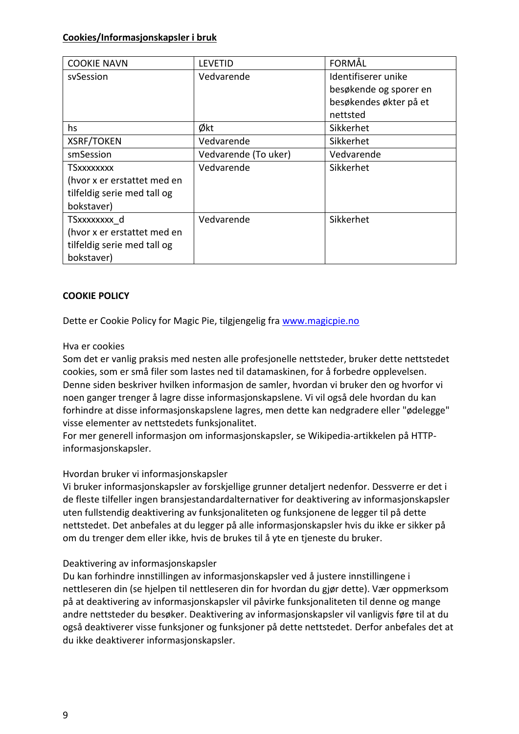### **Cookies/Informasjonskapsler i bruk**

| <b>COOKIE NAVN</b>          | LEVETID              | FORMÅL                 |
|-----------------------------|----------------------|------------------------|
| svSession                   | Vedvarende           | Identifiserer unike    |
|                             |                      | besøkende og sporer en |
|                             |                      | besøkendes økter på et |
|                             |                      | nettsted               |
| hs                          | Økt                  | Sikkerhet              |
| <b>XSRF/TOKEN</b>           | Vedvarende           | Sikkerhet              |
| smSession                   | Vedvarende (To uker) | Vedvarende             |
| <b>TSxxxxxxxx</b>           | Vedvarende           | Sikkerhet              |
| (hvor x er erstattet med en |                      |                        |
| tilfeldig serie med tall og |                      |                        |
| bokstaver)                  |                      |                        |
| TSxxxxxxxx d                | Vedvarende           | Sikkerhet              |
| (hvor x er erstattet med en |                      |                        |
| tilfeldig serie med tall og |                      |                        |
| bokstaver)                  |                      |                        |

## <span id="page-8-0"></span>**COOKIE POLICY**

Dette er Cookie Policy for Magic Pie, tilgjengelig fra [www.magicpie.no](http://www.magicpie.no/)

#### Hva er cookies

Som det er vanlig praksis med nesten alle profesjonelle nettsteder, bruker dette nettstedet cookies, som er små filer som lastes ned til datamaskinen, for å forbedre opplevelsen. Denne siden beskriver hvilken informasjon de samler, hvordan vi bruker den og hvorfor vi noen ganger trenger å lagre disse informasjonskapslene. Vi vil også dele hvordan du kan forhindre at disse informasjonskapslene lagres, men dette kan nedgradere eller "ødelegge" visse elementer av nettstedets funksjonalitet.

For mer generell informasjon om informasjonskapsler, se Wikipedia-artikkelen på HTTPinformasjonskapsler.

#### Hvordan bruker vi informasjonskapsler

Vi bruker informasjonskapsler av forskjellige grunner detaljert nedenfor. Dessverre er det i de fleste tilfeller ingen bransjestandardalternativer for deaktivering av informasjonskapsler uten fullstendig deaktivering av funksjonaliteten og funksjonene de legger til på dette nettstedet. Det anbefales at du legger på alle informasjonskapsler hvis du ikke er sikker på om du trenger dem eller ikke, hvis de brukes til å yte en tjeneste du bruker.

## Deaktivering av informasjonskapsler

Du kan forhindre innstillingen av informasjonskapsler ved å justere innstillingene i nettleseren din (se hjelpen til nettleseren din for hvordan du gjør dette). Vær oppmerksom på at deaktivering av informasjonskapsler vil påvirke funksjonaliteten til denne og mange andre nettsteder du besøker. Deaktivering av informasjonskapsler vil vanligvis føre til at du også deaktiverer visse funksjoner og funksjoner på dette nettstedet. Derfor anbefales det at du ikke deaktiverer informasjonskapsler.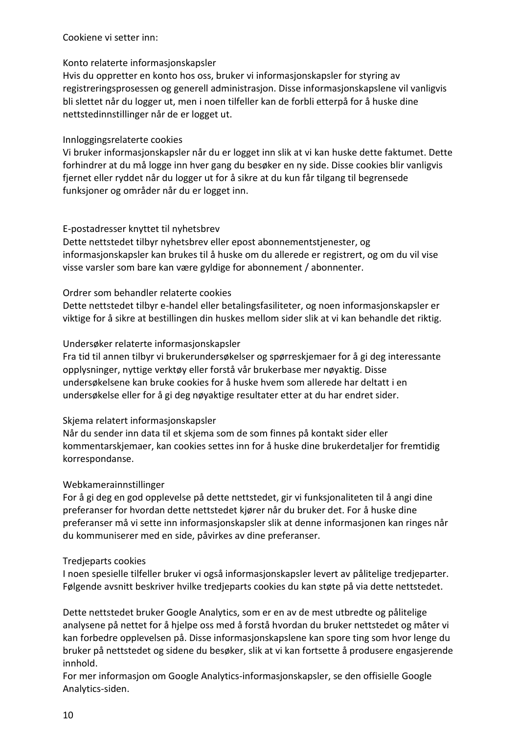## Cookiene vi setter inn:

## Konto relaterte informasjonskapsler

Hvis du oppretter en konto hos oss, bruker vi informasjonskapsler for styring av registreringsprosessen og generell administrasjon. Disse informasjonskapslene vil vanligvis bli slettet når du logger ut, men i noen tilfeller kan de forbli etterpå for å huske dine nettstedinnstillinger når de er logget ut.

### Innloggingsrelaterte cookies

Vi bruker informasjonskapsler når du er logget inn slik at vi kan huske dette faktumet. Dette forhindrer at du må logge inn hver gang du besøker en ny side. Disse cookies blir vanligvis fjernet eller ryddet når du logger ut for å sikre at du kun får tilgang til begrensede funksjoner og områder når du er logget inn.

## E-postadresser knyttet til nyhetsbrev

Dette nettstedet tilbyr nyhetsbrev eller epost abonnementstjenester, og informasjonskapsler kan brukes til å huske om du allerede er registrert, og om du vil vise visse varsler som bare kan være gyldige for abonnement / abonnenter.

## Ordrer som behandler relaterte cookies

Dette nettstedet tilbyr e-handel eller betalingsfasiliteter, og noen informasjonskapsler er viktige for å sikre at bestillingen din huskes mellom sider slik at vi kan behandle det riktig.

### Undersøker relaterte informasjonskapsler

Fra tid til annen tilbyr vi brukerundersøkelser og spørreskjemaer for å gi deg interessante opplysninger, nyttige verktøy eller forstå vår brukerbase mer nøyaktig. Disse undersøkelsene kan bruke cookies for å huske hvem som allerede har deltatt i en undersøkelse eller for å gi deg nøyaktige resultater etter at du har endret sider.

## Skjema relatert informasjonskapsler

Når du sender inn data til et skjema som de som finnes på kontakt sider eller kommentarskjemaer, kan cookies settes inn for å huske dine brukerdetaljer for fremtidig korrespondanse.

## Webkamerainnstillinger

For å gi deg en god opplevelse på dette nettstedet, gir vi funksjonaliteten til å angi dine preferanser for hvordan dette nettstedet kjører når du bruker det. For å huske dine preferanser må vi sette inn informasjonskapsler slik at denne informasjonen kan ringes når du kommuniserer med en side, påvirkes av dine preferanser.

#### Tredjeparts cookies

I noen spesielle tilfeller bruker vi også informasjonskapsler levert av pålitelige tredjeparter. Følgende avsnitt beskriver hvilke tredjeparts cookies du kan støte på via dette nettstedet.

Dette nettstedet bruker Google Analytics, som er en av de mest utbredte og pålitelige analysene på nettet for å hjelpe oss med å forstå hvordan du bruker nettstedet og måter vi kan forbedre opplevelsen på. Disse informasjonskapslene kan spore ting som hvor lenge du bruker på nettstedet og sidene du besøker, slik at vi kan fortsette å produsere engasjerende innhold.

For mer informasjon om Google Analytics-informasjonskapsler, se den offisielle Google Analytics-siden.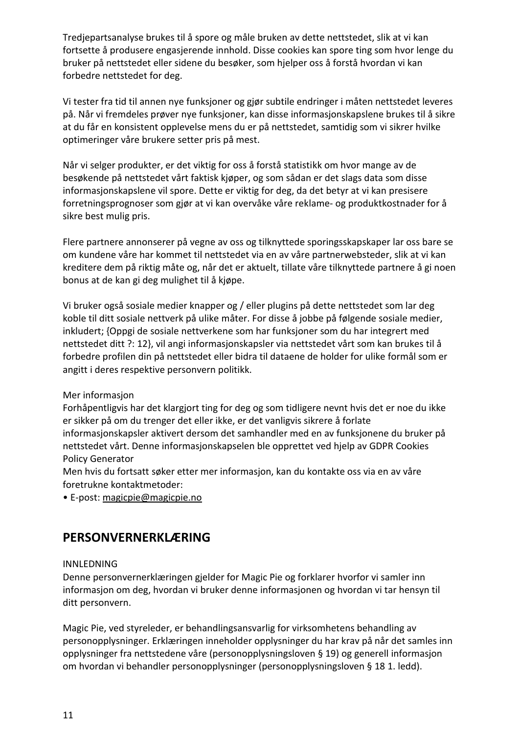Tredjepartsanalyse brukes til å spore og måle bruken av dette nettstedet, slik at vi kan fortsette å produsere engasjerende innhold. Disse cookies kan spore ting som hvor lenge du bruker på nettstedet eller sidene du besøker, som hjelper oss å forstå hvordan vi kan forbedre nettstedet for deg.

Vi tester fra tid til annen nye funksjoner og gjør subtile endringer i måten nettstedet leveres på. Når vi fremdeles prøver nye funksjoner, kan disse informasjonskapslene brukes til å sikre at du får en konsistent opplevelse mens du er på nettstedet, samtidig som vi sikrer hvilke optimeringer våre brukere setter pris på mest.

Når vi selger produkter, er det viktig for oss å forstå statistikk om hvor mange av de besøkende på nettstedet vårt faktisk kjøper, og som sådan er det slags data som disse informasjonskapslene vil spore. Dette er viktig for deg, da det betyr at vi kan presisere forretningsprognoser som gjør at vi kan overvåke våre reklame- og produktkostnader for å sikre best mulig pris.

Flere partnere annonserer på vegne av oss og tilknyttede sporingsskapskaper lar oss bare se om kundene våre har kommet til nettstedet via en av våre partnerwebsteder, slik at vi kan kreditere dem på riktig måte og, når det er aktuelt, tillate våre tilknyttede partnere å gi noen bonus at de kan gi deg mulighet til å kjøpe.

Vi bruker også sosiale medier knapper og / eller plugins på dette nettstedet som lar deg koble til ditt sosiale nettverk på ulike måter. For disse å jobbe på følgende sosiale medier, inkludert; {Oppgi de sosiale nettverkene som har funksjoner som du har integrert med nettstedet ditt ?: 12}, vil angi informasjonskapsler via nettstedet vårt som kan brukes til å forbedre profilen din på nettstedet eller bidra til dataene de holder for ulike formål som er angitt i deres respektive personvern politikk.

## Mer informasjon

Forhåpentligvis har det klargjort ting for deg og som tidligere nevnt hvis det er noe du ikke er sikker på om du trenger det eller ikke, er det vanligvis sikrere å forlate informasjonskapsler aktivert dersom det samhandler med en av funksjonene du bruker på nettstedet vårt. Denne informasjonskapselen ble opprettet ved hjelp av GDPR Cookies Policy Generator

Men hvis du fortsatt søker etter mer informasjon, kan du kontakte oss via en av våre foretrukne kontaktmetoder:

• E-post: [magicpie@magicpie.no](mailto:magicpie@magicpie.no)

## <span id="page-10-0"></span>**PERSONVERNERKLÆRING**

## INNLEDNING

Denne personvernerklæringen gjelder for Magic Pie og forklarer hvorfor vi samler inn informasjon om deg, hvordan vi bruker denne informasjonen og hvordan vi tar hensyn til ditt personvern.

Magic Pie, ved styreleder, er behandlingsansvarlig for virksomhetens behandling av personopplysninger. Erklæringen inneholder opplysninger du har krav på når det samles inn opplysninger fra nettstedene våre (personopplysningsloven § 19) og generell informasjon om hvordan vi behandler personopplysninger (personopplysningsloven § 18 1. ledd).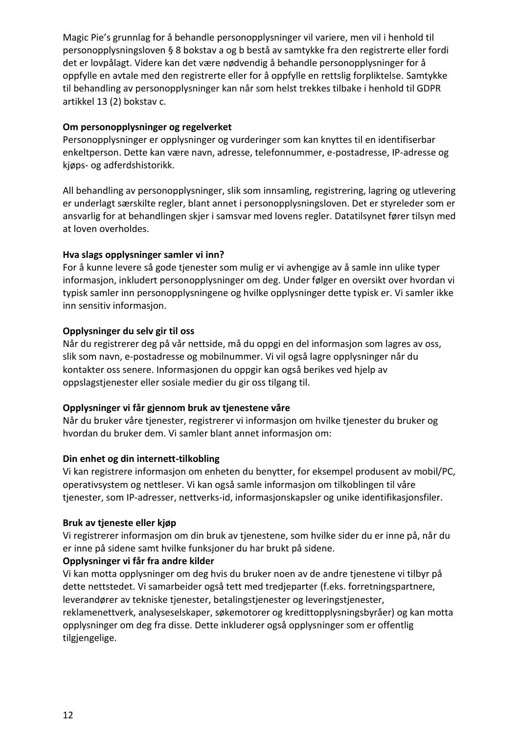Magic Pie's grunnlag for å behandle personopplysninger vil variere, men vil i henhold til personopplysningsloven § 8 bokstav a og b bestå av samtykke fra den registrerte eller fordi det er lovpålagt. Videre kan det være nødvendig å behandle personopplysninger for å oppfylle en avtale med den registrerte eller for å oppfylle en rettslig forpliktelse. Samtykke til behandling av personopplysninger kan når som helst trekkes tilbake i henhold til GDPR artikkel 13 (2) bokstav c.

## **Om personopplysninger og regelverket**

Personopplysninger er opplysninger og vurderinger som kan knyttes til en identifiserbar enkeltperson. Dette kan være navn, adresse, telefonnummer, e-postadresse, IP-adresse og kjøps- og adferdshistorikk.

All behandling av personopplysninger, slik som innsamling, registrering, lagring og utlevering er underlagt særskilte regler, blant annet i personopplysningsloven. Det er styreleder som er ansvarlig for at behandlingen skjer i samsvar med lovens regler. Datatilsynet fører tilsyn med at loven overholdes.

## **Hva slags opplysninger samler vi inn?**

For å kunne levere så gode tjenester som mulig er vi avhengige av å samle inn ulike typer informasjon, inkludert personopplysninger om deg. Under følger en oversikt over hvordan vi typisk samler inn personopplysningene og hvilke opplysninger dette typisk er. Vi samler ikke inn sensitiv informasjon.

## **Opplysninger du selv gir til oss**

Når du registrerer deg på vår nettside, må du oppgi en del informasjon som lagres av oss, slik som navn, e-postadresse og mobilnummer. Vi vil også lagre opplysninger når du kontakter oss senere. Informasjonen du oppgir kan også berikes ved hjelp av oppslagstjenester eller sosiale medier du gir oss tilgang til.

## **Opplysninger vi får gjennom bruk av tjenestene våre**

Når du bruker våre tjenester, registrerer vi informasjon om hvilke tjenester du bruker og hvordan du bruker dem. Vi samler blant annet informasjon om:

## **Din enhet og din internett-tilkobling**

Vi kan registrere informasjon om enheten du benytter, for eksempel produsent av mobil/PC, operativsystem og nettleser. Vi kan også samle informasjon om tilkoblingen til våre tjenester, som IP-adresser, nettverks-id, informasjonskapsler og unike identifikasjonsfiler.

## **Bruk av tjeneste eller kjøp**

Vi registrerer informasjon om din bruk av tjenestene, som hvilke sider du er inne på, når du er inne på sidene samt hvilke funksjoner du har brukt på sidene.

## **Opplysninger vi får fra andre kilder**

Vi kan motta opplysninger om deg hvis du bruker noen av de andre tjenestene vi tilbyr på dette nettstedet. Vi samarbeider også tett med tredjeparter (f.eks. forretningspartnere, leverandører av tekniske tjenester, betalingstjenester og leveringstjenester, reklamenettverk, analyseselskaper, søkemotorer og kredittopplysningsbyråer) og kan motta opplysninger om deg fra disse. Dette inkluderer også opplysninger som er offentlig tilgjengelige.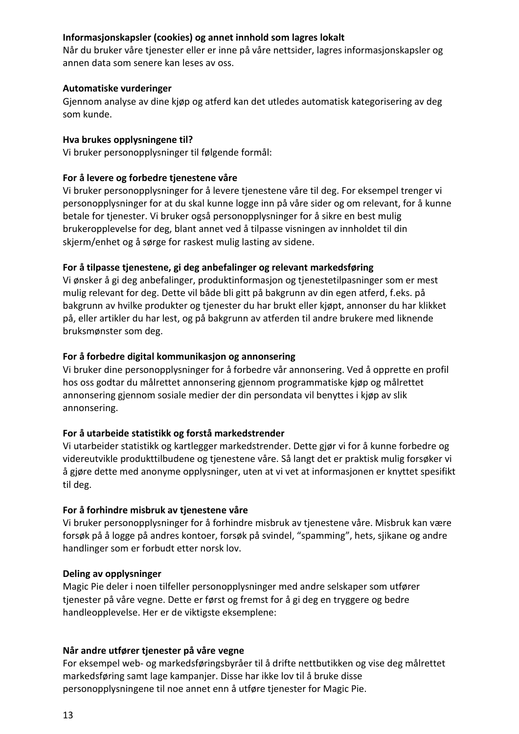## **Informasjonskapsler (cookies) og annet innhold som lagres lokalt**

Når du bruker våre tjenester eller er inne på våre nettsider, lagres informasjonskapsler og annen data som senere kan leses av oss.

## **Automatiske vurderinger**

Gjennom analyse av dine kjøp og atferd kan det utledes automatisk kategorisering av deg som kunde.

### **Hva brukes opplysningene til?**

Vi bruker personopplysninger til følgende formål:

## **For å levere og forbedre tjenestene våre**

Vi bruker personopplysninger for å levere tjenestene våre til deg. For eksempel trenger vi personopplysninger for at du skal kunne logge inn på våre sider og om relevant, for å kunne betale for tjenester. Vi bruker også personopplysninger for å sikre en best mulig brukeropplevelse for deg, blant annet ved å tilpasse visningen av innholdet til din skjerm/enhet og å sørge for raskest mulig lasting av sidene.

## **For å tilpasse tjenestene, gi deg anbefalinger og relevant markedsføring**

Vi ønsker å gi deg anbefalinger, produktinformasjon og tjenestetilpasninger som er mest mulig relevant for deg. Dette vil både bli gitt på bakgrunn av din egen atferd, f.eks. på bakgrunn av hvilke produkter og tjenester du har brukt eller kjøpt, annonser du har klikket på, eller artikler du har lest, og på bakgrunn av atferden til andre brukere med liknende bruksmønster som deg.

## **For å forbedre digital kommunikasjon og annonsering**

Vi bruker dine personopplysninger for å forbedre vår annonsering. Ved å opprette en profil hos oss godtar du målrettet annonsering gjennom programmatiske kjøp og målrettet annonsering gjennom sosiale medier der din persondata vil benyttes i kjøp av slik annonsering.

## **For å utarbeide statistikk og forstå markedstrender**

Vi utarbeider statistikk og kartlegger markedstrender. Dette gjør vi for å kunne forbedre og videreutvikle produkttilbudene og tjenestene våre. Så langt det er praktisk mulig forsøker vi å gjøre dette med anonyme opplysninger, uten at vi vet at informasjonen er knyttet spesifikt til deg.

## **For å forhindre misbruk av tjenestene våre**

Vi bruker personopplysninger for å forhindre misbruk av tjenestene våre. Misbruk kan være forsøk på å logge på andres kontoer, forsøk på svindel, "spamming", hets, sjikane og andre handlinger som er forbudt etter norsk lov.

## **Deling av opplysninger**

Magic Pie deler i noen tilfeller personopplysninger med andre selskaper som utfører tjenester på våre vegne. Dette er først og fremst for å gi deg en tryggere og bedre handleopplevelse. Her er de viktigste eksemplene:

## **Når andre utfører tjenester på våre vegne**

For eksempel web- og markedsføringsbyråer til å drifte nettbutikken og vise deg målrettet markedsføring samt lage kampanjer. Disse har ikke lov til å bruke disse personopplysningene til noe annet enn å utføre tjenester for Magic Pie.